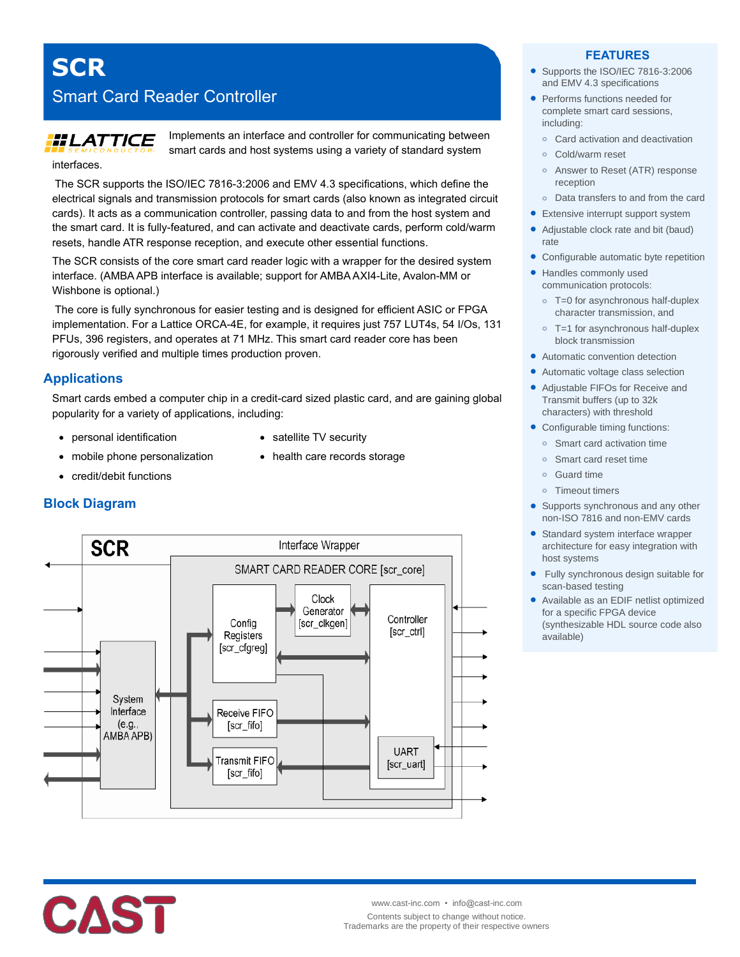Smart Card Reader Controller

# **HLATTICE**

**SCR**

interfaces.

Implements an interface and controller for communicating between smart cards and host systems using a variety of standard system

The SCR supports the ISO/IEC 7816-3:2006 and EMV 4.3 specifications, which define the electrical signals and transmission protocols for smart cards (also known as integrated circuit cards). It acts as a communication controller, passing data to and from the host system and the smart card. It is fully-featured, and can activate and deactivate cards, perform cold/warm resets, handle ATR response reception, and execute other essential functions.

The SCR consists of the core smart card reader logic with a wrapper for the desired system interface. (AMBA APB interface is available; support for AMBA AXI4-Lite, Avalon-MM or Wishbone is optional.)

The core is fully synchronous for easier testing and is designed for efficient ASIC or FPGA implementation. For a Lattice ORCA-4E, for example, it requires just 757 LUT4s, 54 I/Os, 131 PFUs, 396 registers, and operates at 71 MHz. This smart card reader core has been rigorously verified and multiple times production proven.

# **Applications**

**Block Diagram**

Smart cards embed a computer chip in a credit-card sized plastic card, and are gaining global popularity for a variety of applications, including:

- personal identification
- satellite TV security

• health care records storage

- mobile phone personalization
- credit/debit functions



### **FEATURES**

- Supports the ISO/IEC 7816-3:2006 and EMV 4.3 specifications
- Performs functions needed for complete smart card sessions, including:
	- **o** Card activation and deactivation
	- **o** Cold/warm reset
	- **o** Answer to Reset (ATR) response reception
- **o** Data transfers to and from the card
- **•** Extensive interrupt support system
- Adjustable clock rate and bit (baud) rate
- Configurable automatic byte repetition
- Handles commonly used communication protocols:
	- **o** T=0 for asynchronous half-duplex character transmission, and
	- **o** T=1 for asynchronous half-duplex block transmission
- Automatic convention detection
- Automatic voltage class selection
- Adjustable FIFOs for Receive and Transmit buffers (up to 32k characters) with threshold
- Configurable timing functions:
	- **Smart card activation time**
	- **o** Smart card reset time
	- **o** Guard time
	- **o** Timeout timers
- Supports synchronous and any other non-ISO 7816 and non-EMV cards
- Standard system interface wrapper architecture for easy integration with host systems
- Fully synchronous design suitable for scan-based testing
- Available as an EDIF netlist optimized for a specific FPGA device (synthesizable HDL source code also available)